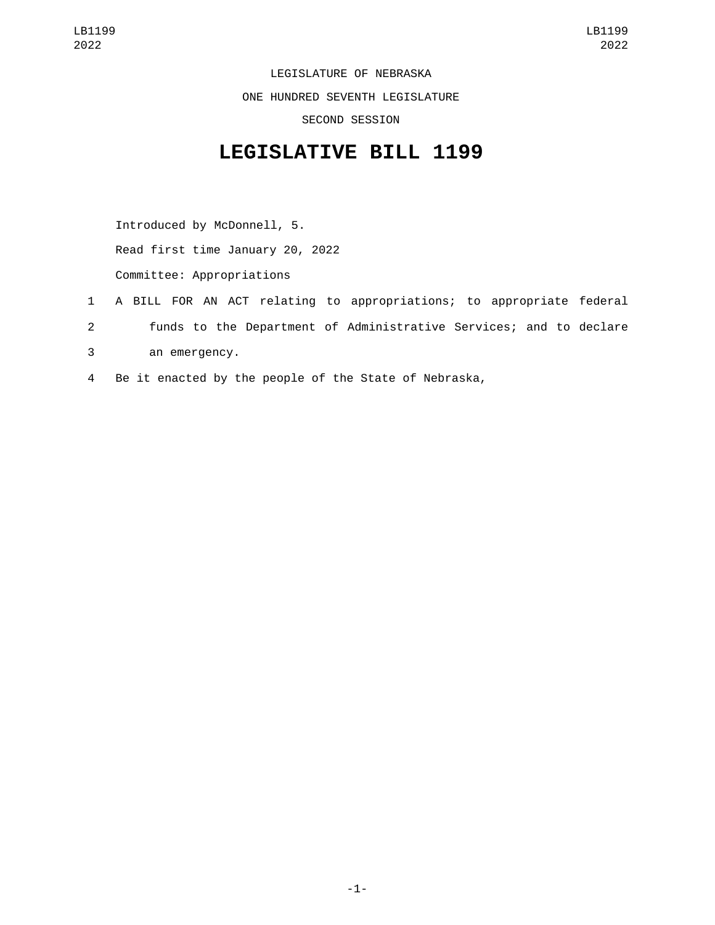LEGISLATURE OF NEBRASKA ONE HUNDRED SEVENTH LEGISLATURE SECOND SESSION

## **LEGISLATIVE BILL 1199**

Introduced by McDonnell, 5. Read first time January 20, 2022

Committee: Appropriations

- 1 A BILL FOR AN ACT relating to appropriations; to appropriate federal 2 funds to the Department of Administrative Services; and to declare an emergency.3
- 4 Be it enacted by the people of the State of Nebraska,